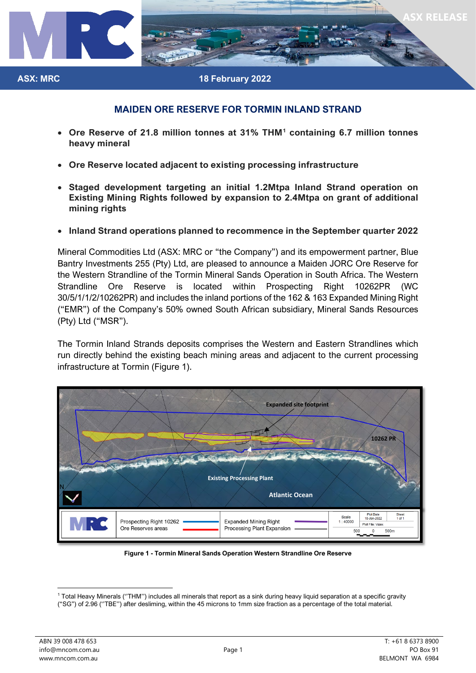

### **ASX: MRC 18 February 2022**

# **MAIDEN ORE RESERVE FOR TORMIN INLAND STRAND**

- **Ore Reserve of 21.8 million tonnes at 31% THM[1](#page-0-0) containing 6.7 million tonnes heavy mineral**
- **Ore Reserve located adjacent to existing processing infrastructure**
- **Staged development targeting an initial 1.2Mtpa Inland Strand operation on Existing Mining Rights followed by expansion to 2.4Mtpa on grant of additional mining rights**
- **Inland Strand operations planned to recommence in the September quarter 2022**

Mineral Commodities Ltd (ASX: MRC or "the Company") and its empowerment partner, Blue Bantry Investments 255 (Pty) Ltd, are pleased to announce a Maiden JORC Ore Reserve for the Western Strandline of the Tormin Mineral Sands Operation in South Africa. The Western Strandline Ore Reserve is located within Prospecting Right 10262PR (WC 30/5/1/1/2/10262PR) and includes the inland portions of the 162 & 163 Expanded Mining Right ("EMR") of the Company's 50% owned South African subsidiary, Mineral Sands Resources (Pty) Ltd ("MSR").

The Tormin Inland Strands deposits comprises the Western and Eastern Strandlines which run directly behind the existing beach mining areas and adjacent to the current processing infrastructure at Tormin (Figure 1).



**Figure 1 - Tormin Mineral Sands Operation Western Strandline Ore Reserve** 

<span id="page-0-0"></span><sup>1</sup> Total Heavy Minerals (''THM'') includes all minerals that report as a sink during heavy liquid separation at a specific gravity ("SG") of 2.96 (''TBE'') after desliming, within the 45 microns to 1mm size fraction as a percentage of the total material.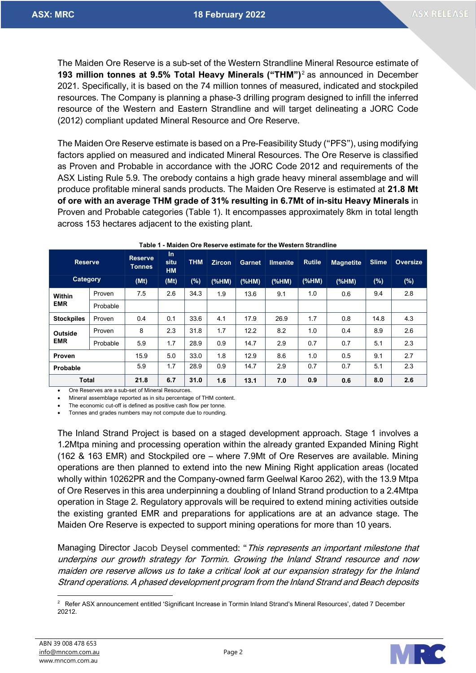The Maiden Ore Reserve is a sub-set of the Western Strandline Mineral Resource estimate of **193 million tonnes at 9.5% Total Heavy Minerals ("THM")**[2](#page-1-0) as announced in December 2021. Specifically, it is based on the 74 million tonnes of measured, indicated and stockpiled resources. The Company is planning a phase-3 drilling program designed to infill the inferred resource of the Western and Eastern Strandline and will target delineating a JORC Code (2012) compliant updated Mineral Resource and Ore Reserve.

The Maiden Ore Reserve estimate is based on a Pre-Feasibility Study ("PFS"), using modifying factors applied on measured and indicated Mineral Resources. The Ore Reserve is classified as Proven and Probable in accordance with the JORC Code 2012 and requirements of the ASX Listing Rule 5.9. The orebody contains a high grade heavy mineral assemblage and will produce profitable mineral sands products. The Maiden Ore Reserve is estimated at **21.8 Mt of ore with an average THM grade of 31% resulting in 6.7Mt of in-situ Heavy Minerals** in Proven and Probable categories (Table 1). It encompasses approximately 8km in total length across 153 hectares adjacent to the existing plant.

| <b>Reserve</b>    |          | <b>Reserve</b><br><b>Tonnes</b> | $\ln$<br>situ<br><b>HM</b> | <b>THM</b> | <b>Zircon</b> | <b>Garnet</b> | <b>Ilmenite</b> | <b>Rutile</b> | <b>Magnetite</b> | <b>Slime</b> | <b>Oversize</b> |
|-------------------|----------|---------------------------------|----------------------------|------------|---------------|---------------|-----------------|---------------|------------------|--------------|-----------------|
| <b>Category</b>   |          | (Mt)                            | (Mt)                       | (%)        | (%HM)         | (%M)          | (%              | $(%H_{0})$    | (%HM)            | $(\%)$       | (%)             |
| Within            | Proven   | 7.5                             | 2.6                        | 34.3       | 1.9           | 13.6          | 9.1             | 1.0           | 0.6              | 9.4          | 2.8             |
| <b>EMR</b>        | Probable |                                 |                            |            |               |               |                 |               |                  |              |                 |
| <b>Stockpiles</b> | Proven   | 0.4                             | 0.1                        | 33.6       | 4.1           | 17.9          | 26.9            | 1.7           | 0.8              | 14.8         | 4.3             |
| Outside           | Proven   | 8                               | 2.3                        | 31.8       | 1.7           | 12.2          | 8.2             | 1.0           | 0.4              | 8.9          | 2.6             |
| <b>EMR</b>        | Probable | 5.9                             | 1.7                        | 28.9       | 0.9           | 14.7          | 2.9             | 0.7           | 0.7              | 5.1          | 2.3             |
| Proven            |          | 15.9                            | 5.0                        | 33.0       | 1.8           | 12.9          | 8.6             | 1.0           | 0.5              | 9.1          | 2.7             |
| Probable          |          | 5.9                             | 1.7                        | 28.9       | 0.9           | 14.7          | 2.9             | 0.7           | 0.7              | 5.1          | 2.3             |
| <b>Total</b>      |          | 21.8                            | 6.7                        | 31.0       | 1.6           | 13.1          | 7.0             | 0.9           | 0.6              | 8.0          | 2.6             |

**Table 1 - Maiden Ore Reserve estimate for the Western Strandline** 

• Ore Reserves are a sub-set of Mineral Resources.

• Mineral assemblage reported as in situ percentage of THM content.

The economic cut-off is defined as positive cash flow per tonne.

• Tonnes and grades numbers may not compute due to rounding.

The Inland Strand Project is based on a staged development approach. Stage 1 involves a 1.2Mtpa mining and processing operation within the already granted Expanded Mining Right (162 & 163 EMR) and Stockpiled ore – where 7.9Mt of Ore Reserves are available. Mining operations are then planned to extend into the new Mining Right application areas (located wholly within 10262PR and the Company-owned farm Geelwal Karoo 262), with the 13.9 Mtpa of Ore Reserves in this area underpinning a doubling of Inland Strand production to a 2.4Mtpa operation in Stage 2. Regulatory approvals will be required to extend mining activities outside the existing granted EMR and preparations for applications are at an advance stage. The Maiden Ore Reserve is expected to support mining operations for more than 10 years.

Managing Director Jacob Deysel commented: "This represents an important milestone that underpins our growth strategy for Tormin. Growing the Inland Strand resource and now maiden ore reserve allows us to take a critical look at our expansion strategy for the Inland Strand operations. A phased development program from the Inland Strand and Beach deposits



<span id="page-1-0"></span><sup>&</sup>lt;sup>2</sup> Refer ASX announcement entitled 'Significant Increase in Tormin Inland Strand's Mineral Resources', dated 7 December 20212.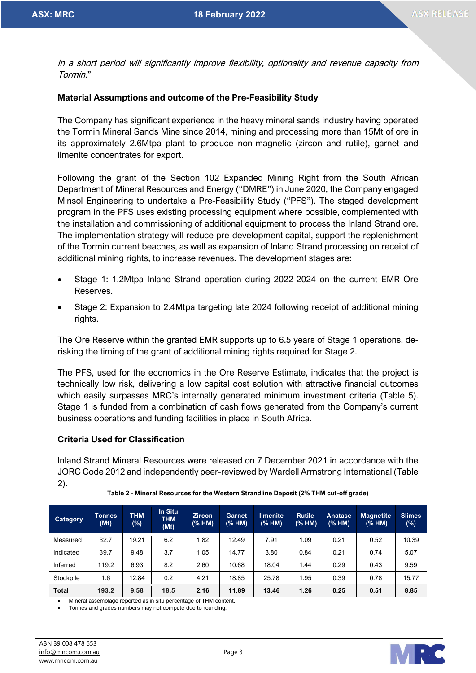in a short period will significantly improve flexibility, optionality and revenue capacity from Tormin."

# **Material Assumptions and outcome of the Pre-Feasibility Study**

The Company has significant experience in the heavy mineral sands industry having operated the Tormin Mineral Sands Mine since 2014, mining and processing more than 15Mt of ore in its approximately 2.6Mtpa plant to produce non-magnetic (zircon and rutile), garnet and ilmenite concentrates for export.

Following the grant of the Section 102 Expanded Mining Right from the South African Department of Mineral Resources and Energy ("DMRE") in June 2020, the Company engaged Minsol Engineering to undertake a Pre-Feasibility Study ("PFS"). The staged development program in the PFS uses existing processing equipment where possible, complemented with the installation and commissioning of additional equipment to process the Inland Strand ore. The implementation strategy will reduce pre-development capital, support the replenishment of the Tormin current beaches, as well as expansion of Inland Strand processing on receipt of additional mining rights, to increase revenues. The development stages are:

- Stage 1: 1.2Mtpa Inland Strand operation during 2022-2024 on the current EMR Ore Reserves.
- Stage 2: Expansion to 2.4Mtpa targeting late 2024 following receipt of additional mining rights.

The Ore Reserve within the granted EMR supports up to 6.5 years of Stage 1 operations, derisking the timing of the grant of additional mining rights required for Stage 2.

The PFS, used for the economics in the Ore Reserve Estimate, indicates that the project is technically low risk, delivering a low capital cost solution with attractive financial outcomes which easily surpasses MRC's internally generated minimum investment criteria (Table 5). Stage 1 is funded from a combination of cash flows generated from the Company's current business operations and funding facilities in place in South Africa.

# **Criteria Used for Classification**

Inland Strand Mineral Resources were released on 7 December 2021 in accordance with the JORC Code 2012 and independently peer-reviewed by Wardell Armstrong International (Table 2).

| <b>Category</b> | <b>Tonnes</b><br>(Mt) | <b>THM</b><br>(%) | In Situ<br><b>THM</b><br>(Mt) | <b>Zircon</b><br>(% HM) | Garnet<br>(% HM) | <b>Ilmenite</b><br>(% HM) | <b>Rutile</b><br>(% HM) | <b>Anatase</b><br>(% HM) | <b>Magnetite</b><br>(% HM) | <b>Slimes</b><br>$(\%)$ |
|-----------------|-----------------------|-------------------|-------------------------------|-------------------------|------------------|---------------------------|-------------------------|--------------------------|----------------------------|-------------------------|
| Measured        | 32.7                  | 19.21             | 6.2                           | 1.82                    | 12.49            | 7.91                      | 1.09                    | 0.21                     | 0.52                       | 10.39                   |
| Indicated       | 39.7                  | 9.48              | 3.7                           | 1.05                    | 14.77            | 3.80                      | 0.84                    | 0.21                     | 0.74                       | 5.07                    |
| Inferred        | 119.2                 | 6.93              | 8.2                           | 2.60                    | 10.68            | 18.04                     | 1.44                    | 0.29                     | 0.43                       | 9.59                    |
| Stockpile       | 1.6                   | 12.84             | 0.2                           | 4.21                    | 18.85            | 25.78                     | 1.95                    | 0.39                     | 0.78                       | 15.77                   |
| <b>Total</b>    | 193.2                 | 9.58              | 18.5                          | 2.16                    | 11.89            | 13.46                     | 1.26                    | 0.25                     | 0.51                       | 8.85                    |

**Table 2 - Mineral Resources for the Western Strandline Deposit (2% THM cut-off grade)**

• Mineral assemblage reported as in situ percentage of THM content.

• Tonnes and grades numbers may not compute due to rounding.

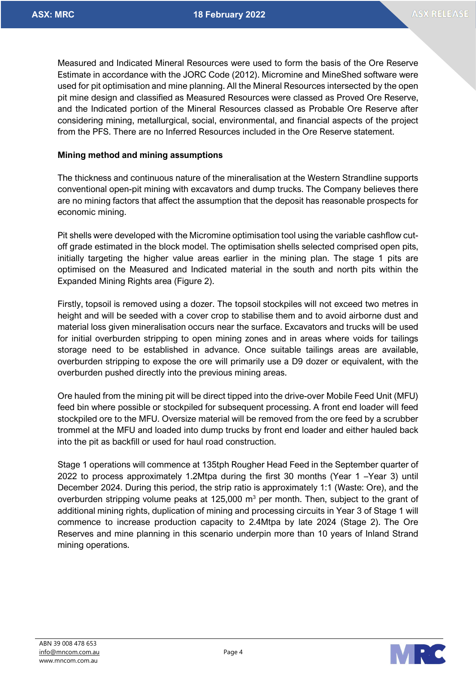Measured and Indicated Mineral Resources were used to form the basis of the Ore Reserve Estimate in accordance with the JORC Code (2012). Micromine and MineShed software were used for pit optimisation and mine planning. All the Mineral Resources intersected by the open pit mine design and classified as Measured Resources were classed as Proved Ore Reserve, and the Indicated portion of the Mineral Resources classed as Probable Ore Reserve after considering mining, metallurgical, social, environmental, and financial aspects of the project from the PFS. There are no Inferred Resources included in the Ore Reserve statement.

## **Mining method and mining assumptions**

The thickness and continuous nature of the mineralisation at the Western Strandline supports conventional open-pit mining with excavators and dump trucks. The Company believes there are no mining factors that affect the assumption that the deposit has reasonable prospects for economic mining.

Pit shells were developed with the Micromine optimisation tool using the variable cashflow cutoff grade estimated in the block model. The optimisation shells selected comprised open pits, initially targeting the higher value areas earlier in the mining plan. The stage 1 pits are optimised on the Measured and Indicated material in the south and north pits within the Expanded Mining Rights area (Figure 2).

Firstly, topsoil is removed using a dozer. The topsoil stockpiles will not exceed two metres in height and will be seeded with a cover crop to stabilise them and to avoid airborne dust and material loss given mineralisation occurs near the surface. Excavators and trucks will be used for initial overburden stripping to open mining zones and in areas where voids for tailings storage need to be established in advance. Once suitable tailings areas are available, overburden stripping to expose the ore will primarily use a D9 dozer or equivalent, with the overburden pushed directly into the previous mining areas.

Ore hauled from the mining pit will be direct tipped into the drive-over Mobile Feed Unit (MFU) feed bin where possible or stockpiled for subsequent processing. A front end loader will feed stockpiled ore to the MFU. Oversize material will be removed from the ore feed by a scrubber trommel at the MFU and loaded into dump trucks by front end loader and either hauled back into the pit as backfill or used for haul road construction.

Stage 1 operations will commence at 135tph Rougher Head Feed in the September quarter of 2022 to process approximately 1.2Mtpa during the first 30 months (Year 1 –Year 3) until December 2024. During this period, the strip ratio is approximately 1:1 (Waste: Ore), and the overburden stripping volume peaks at  $125,000$  m<sup>3</sup> per month. Then, subject to the grant of additional mining rights, duplication of mining and processing circuits in Year 3 of Stage 1 will commence to increase production capacity to 2.4Mtpa by late 2024 (Stage 2). The Ore Reserves and mine planning in this scenario underpin more than 10 years of Inland Strand mining operations.

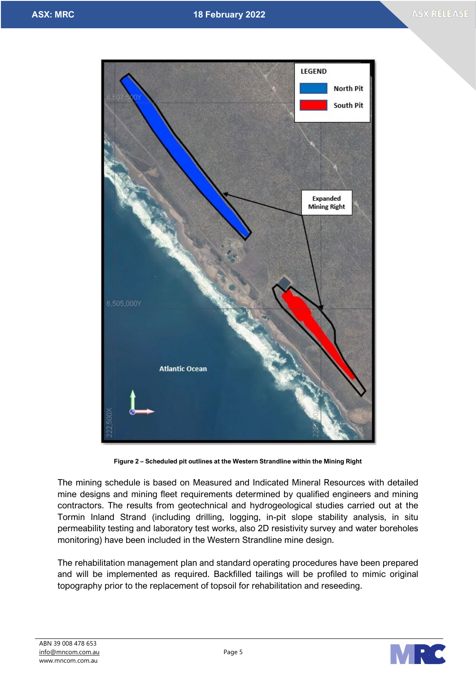

**Figure 2 – Scheduled pit outlines at the Western Strandline within the Mining Right**

The mining schedule is based on Measured and Indicated Mineral Resources with detailed mine designs and mining fleet requirements determined by qualified engineers and mining contractors. The results from geotechnical and hydrogeological studies carried out at the Tormin Inland Strand (including drilling, logging, in-pit slope stability analysis, in situ permeability testing and laboratory test works, also 2D resistivity survey and water boreholes monitoring) have been included in the Western Strandline mine design.

The rehabilitation management plan and standard operating procedures have been prepared and will be implemented as required. Backfilled tailings will be profiled to mimic original topography prior to the replacement of topsoil for rehabilitation and reseeding.

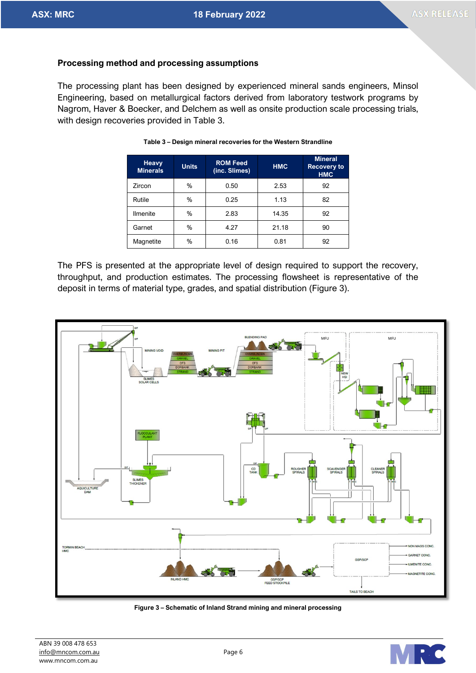# **Processing method and processing assumptions**

The processing plant has been designed by experienced mineral sands engineers, Minsol Engineering, based on metallurgical factors derived from laboratory testwork programs by Nagrom, Haver & Boecker, and Delchem as well as onsite production scale processing trials, with design recoveries provided in Table 3.

| Heavy<br><b>Minerals</b> | <b>Units</b> | <b>ROM Feed</b><br>(inc. Slimes) | <b>HMC</b> | <b>Mineral</b><br><b>Recovery to</b><br><b>HMC</b> |
|--------------------------|--------------|----------------------------------|------------|----------------------------------------------------|
| Zircon                   | %            | 0.50                             | 2.53       | 92                                                 |
| Rutile                   | %            | 0.25                             | 1.13       | 82                                                 |
| <b>Ilmenite</b>          | %            | 2.83                             | 14.35      | 92                                                 |
| Garnet                   | %            | 4.27                             | 21.18      | 90                                                 |
| Magnetite                | %            | 0.16                             | 0.81       | 92                                                 |

#### **Table 3 – Design mineral recoveries for the Western Strandline**

The PFS is presented at the appropriate level of design required to support the recovery, throughput, and production estimates. The processing flowsheet is representative of the deposit in terms of material type, grades, and spatial distribution (Figure 3).



**Figure 3 – Schematic of Inland Strand mining and mineral processing** 

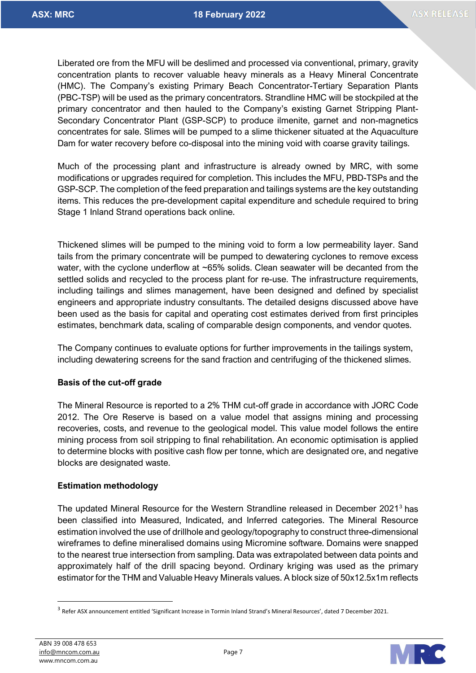Liberated ore from the MFU will be deslimed and processed via conventional, primary, gravity concentration plants to recover valuable heavy minerals as a Heavy Mineral Concentrate (HMC). The Company's existing Primary Beach Concentrator-Tertiary Separation Plants (PBC-TSP) will be used as the primary concentrators. Strandline HMC will be stockpiled at the primary concentrator and then hauled to the Company's existing Garnet Stripping Plant-Secondary Concentrator Plant (GSP-SCP) to produce ilmenite, garnet and non-magnetics concentrates for sale. Slimes will be pumped to a slime thickener situated at the Aquaculture Dam for water recovery before co-disposal into the mining void with coarse gravity tailings.

Much of the processing plant and infrastructure is already owned by MRC, with some modifications or upgrades required for completion. This includes the MFU, PBD-TSPs and the GSP-SCP. The completion of the feed preparation and tailings systems are the key outstanding items. This reduces the pre-development capital expenditure and schedule required to bring Stage 1 Inland Strand operations back online.

Thickened slimes will be pumped to the mining void to form a low permeability layer. Sand tails from the primary concentrate will be pumped to dewatering cyclones to remove excess water, with the cyclone underflow at ~65% solids. Clean seawater will be decanted from the settled solids and recycled to the process plant for re-use. The infrastructure requirements, including tailings and slimes management, have been designed and defined by specialist engineers and appropriate industry consultants. The detailed designs discussed above have been used as the basis for capital and operating cost estimates derived from first principles estimates, benchmark data, scaling of comparable design components, and vendor quotes.

The Company continues to evaluate options for further improvements in the tailings system, including dewatering screens for the sand fraction and centrifuging of the thickened slimes.

# **Basis of the cut-off grade**

The Mineral Resource is reported to a 2% THM cut-off grade in accordance with JORC Code 2012. The Ore Reserve is based on a value model that assigns mining and processing recoveries, costs, and revenue to the geological model. This value model follows the entire mining process from soil stripping to final rehabilitation. An economic optimisation is applied to determine blocks with positive cash flow per tonne, which are designated ore, and negative blocks are designated waste.

### **Estimation methodology**

The updated Mineral Resource for the Western Strandline released in December 2021[3](#page-6-0) has been classified into Measured, Indicated, and Inferred categories. The Mineral Resource estimation involved the use of drillhole and geology/topography to construct three-dimensional wireframes to define mineralised domains using Micromine software. Domains were snapped to the nearest true intersection from sampling. Data was extrapolated between data points and approximately half of the drill spacing beyond. Ordinary kriging was used as the primary estimator for the THM and Valuable Heavy Minerals values. A block size of 50x12.5x1m reflects



<span id="page-6-0"></span><sup>3</sup> Refer ASX announcement entitled 'Significant Increase in Tormin Inland Strand's Mineral Resources', dated 7 December 2021.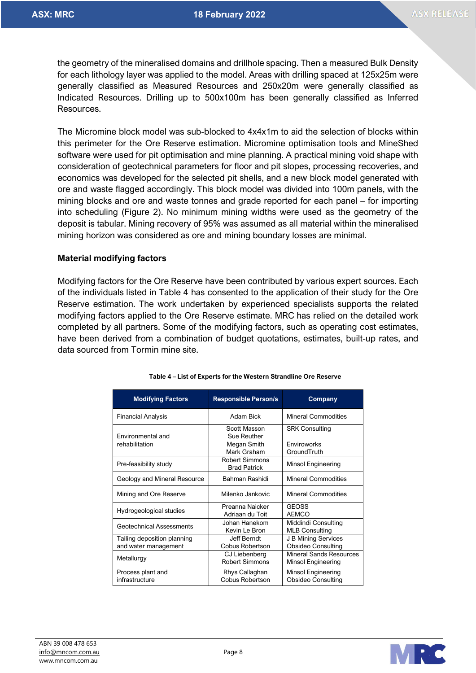the geometry of the mineralised domains and drillhole spacing. Then a measured Bulk Density for each lithology layer was applied to the model. Areas with drilling spaced at 125x25m were generally classified as Measured Resources and 250x20m were generally classified as Indicated Resources. Drilling up to 500x100m has been generally classified as Inferred Resources.

The Micromine block model was sub-blocked to 4x4x1m to aid the selection of blocks within this perimeter for the Ore Reserve estimation. Micromine optimisation tools and MineShed software were used for pit optimisation and mine planning. A practical mining void shape with consideration of geotechnical parameters for floor and pit slopes, processing recoveries, and economics was developed for the selected pit shells, and a new block model generated with ore and waste flagged accordingly. This block model was divided into 100m panels, with the mining blocks and ore and waste tonnes and grade reported for each panel – for importing into scheduling (Figure 2). No minimum mining widths were used as the geometry of the deposit is tabular. Mining recovery of 95% was assumed as all material within the mineralised mining horizon was considered as ore and mining boundary losses are minimal.

### **Material modifying factors**

Modifying factors for the Ore Reserve have been contributed by various expert sources. Each of the individuals listed in Table 4 has consented to the application of their study for the Ore Reserve estimation. The work undertaken by experienced specialists supports the related modifying factors applied to the Ore Reserve estimate. MRC has relied on the detailed work completed by all partners. Some of the modifying factors, such as operating cost estimates, have been derived from a combination of budget quotations, estimates, built-up rates, and data sourced from Tormin mine site.

| <b>Modifying Factors</b>                            | <b>Responsible Person/s</b>                               | Company                                                    |  |
|-----------------------------------------------------|-----------------------------------------------------------|------------------------------------------------------------|--|
| <b>Financial Analysis</b>                           | Adam Bick                                                 | <b>Mineral Commodities</b>                                 |  |
| <b>Fnvironmental and</b><br>rehabilitation          | Scott Masson<br>Sue Reuther<br>Megan Smith<br>Mark Graham | <b>SRK Consulting</b><br><b>Fnviroworks</b><br>GroundTruth |  |
| Pre-feasibility study                               | <b>Robert Simmons</b><br><b>Brad Patrick</b>              | Minsol Engineering                                         |  |
| Geology and Mineral Resource                        | Bahman Rashidi                                            | <b>Mineral Commodities</b>                                 |  |
| Mining and Ore Reserve                              | Milenko Jankovic                                          | Mineral Commodities                                        |  |
| Hydrogeological studies                             | Preanna Naicker<br>Adriaan du Toit                        | <b>GEOSS</b><br><b>AEMCO</b>                               |  |
| Geotechnical Assessments                            | Johan Hanekom<br>Kevin Le Bron                            | Middindi Consulting<br><b>MLB Consulting</b>               |  |
| Tailing deposition planning<br>and water management | Jeff Berndt<br>Cobus Robertson                            | J B Mining Services<br><b>Obsideo Consulting</b>           |  |
| Metallurgy                                          | CJ Liebenberg<br><b>Robert Simmons</b>                    | Mineral Sands Resources<br>Minsol Engineering              |  |
| Process plant and<br>infrastructure                 | Rhys Callaghan<br>Cobus Robertson                         | Minsol Engineering<br><b>Obsideo Consulting</b>            |  |

#### **Table 4 – List of Experts for the Western Strandline Ore Reserve**

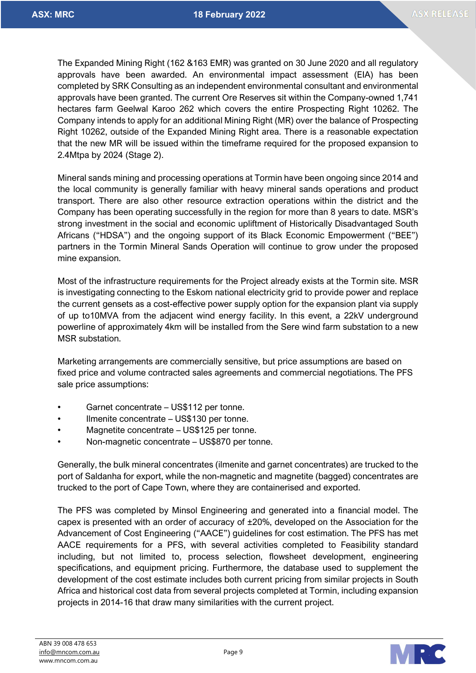The Expanded Mining Right (162 &163 EMR) was granted on 30 June 2020 and all regulatory approvals have been awarded. An environmental impact assessment (EIA) has been completed by SRK Consulting as an independent environmental consultant and environmental approvals have been granted. The current Ore Reserves sit within the Company-owned 1,741 hectares farm Geelwal Karoo 262 which covers the entire Prospecting Right 10262. The Company intends to apply for an additional Mining Right (MR) over the balance of Prospecting Right 10262, outside of the Expanded Mining Right area. There is a reasonable expectation that the new MR will be issued within the timeframe required for the proposed expansion to 2.4Mtpa by 2024 (Stage 2).

Mineral sands mining and processing operations at Tormin have been ongoing since 2014 and the local community is generally familiar with heavy mineral sands operations and product transport. There are also other resource extraction operations within the district and the Company has been operating successfully in the region for more than 8 years to date. MSR's strong investment in the social and economic upliftment of Historically Disadvantaged South Africans ("HDSA") and the ongoing support of its Black Economic Empowerment ("BEE") partners in the Tormin Mineral Sands Operation will continue to grow under the proposed mine expansion.

Most of the infrastructure requirements for the Project already exists at the Tormin site. MSR is investigating connecting to the Eskom national electricity grid to provide power and replace the current gensets as a cost-effective power supply option for the expansion plant via supply of up to10MVA from the adjacent wind energy facility. In this event, a 22kV underground powerline of approximately 4km will be installed from the Sere wind farm substation to a new MSR substation.

Marketing arrangements are commercially sensitive, but price assumptions are based on fixed price and volume contracted sales agreements and commercial negotiations. The PFS sale price assumptions:

- Garnet concentrate US\$112 per tonne.
- Ilmenite concentrate US\$130 per tonne.
- Magnetite concentrate US\$125 per tonne.
- Non-magnetic concentrate US\$870 per tonne.

Generally, the bulk mineral concentrates (ilmenite and garnet concentrates) are trucked to the port of Saldanha for export, while the non-magnetic and magnetite (bagged) concentrates are trucked to the port of Cape Town, where they are containerised and exported.

The PFS was completed by Minsol Engineering and generated into a financial model. The capex is presented with an order of accuracy of ±20%, developed on the Association for the Advancement of Cost Engineering ("AACE") guidelines for cost estimation. The PFS has met AACE requirements for a PFS, with several activities completed to Feasibility standard including, but not limited to, process selection, flowsheet development, engineering specifications, and equipment pricing. Furthermore, the database used to supplement the development of the cost estimate includes both current pricing from similar projects in South Africa and historical cost data from several projects completed at Tormin, including expansion projects in 2014-16 that draw many similarities with the current project.

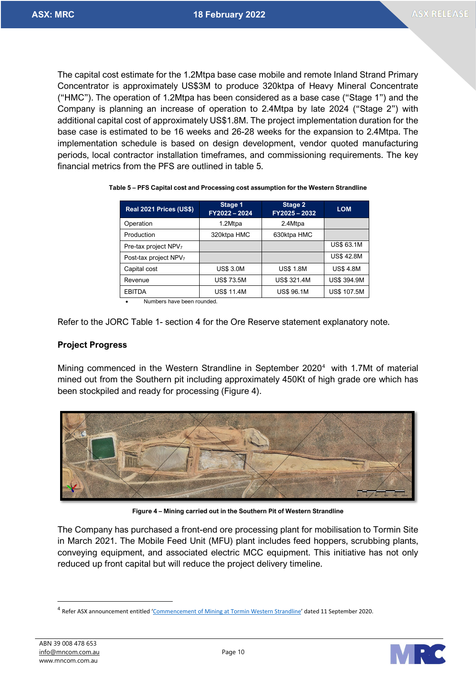The capital cost estimate for the 1.2Mtpa base case mobile and remote Inland Strand Primary Concentrator is approximately US\$3M to produce 320ktpa of Heavy Mineral Concentrate ("HMC"). The operation of 1.2Mtpa has been considered as a base case ("Stage 1") and the Company is planning an increase of operation to 2.4Mtpa by late 2024 ("Stage 2") with additional capital cost of approximately US\$1.8M. The project implementation duration for the base case is estimated to be 16 weeks and 26-28 weeks for the expansion to 2.4Mtpa. The implementation schedule is based on design development, vendor quoted manufacturing periods, local contractor installation timeframes, and commissioning requirements. The key financial metrics from the PFS are outlined in table 5.

| Real 2021 Prices (US\$)           | Stage 1<br>FY2022-2024 | Stage 2<br>FY2025-2032 | <b>LOM</b>         |
|-----------------------------------|------------------------|------------------------|--------------------|
| Operation                         | 1.2Mtpa                | 2.4Mtpa                |                    |
| Production                        | 320ktpa HMC            | 630ktpa HMC            |                    |
| Pre-tax project NPV <sub>7</sub>  |                        |                        | <b>US\$ 63.1M</b>  |
| Post-tax project NPV <sub>7</sub> |                        |                        | <b>US\$42.8M</b>   |
| Capital cost                      | <b>US\$ 3.0M</b>       | <b>US\$ 1.8M</b>       | <b>US\$ 4.8M</b>   |
| Revenue                           | <b>US\$73.5M</b>       | <b>US\$ 321.4M</b>     | <b>US\$ 394.9M</b> |
| <b>EBITDA</b>                     | <b>US\$ 11.4M</b>      | <b>US\$ 96.1M</b>      | <b>US\$ 107.5M</b> |

#### **Table 5 – PFS Capital cost and Processing cost assumption for the Western Strandline**

• Numbers have been rounded.

Refer to the JORC Table 1- section 4 for the Ore Reserve statement explanatory note.

### **Project Progress**

Mining commenced in the Western Strandline in September 2020<sup>[4](#page-9-0)</sup> with 1.7Mt of material mined out from the Southern pit including approximately 450Kt of high grade ore which has been stockpiled and ready for processing (Figure 4).



**Figure 4 – Mining carried out in the Southern Pit of Western Strandline**

The Company has purchased a front-end ore processing plant for mobilisation to Tormin Site in March 2021. The Mobile Feed Unit (MFU) plant includes feed hoppers, scrubbing plants, conveying equipment, and associated electric MCC equipment. This initiative has not only reduced up front capital but will reduce the project delivery timeline.



<span id="page-9-0"></span><sup>4</sup> Refer ASX announcement entitled ['Commencement of Mining at Tormin Western Strandline'](https://www.mineralcommodities.com/wp-content/uploads/2020/10/11-September-2020-Commencement-Of-Mining-At-Tormin-Western-Strandline.pdf) dated 11 September 2020.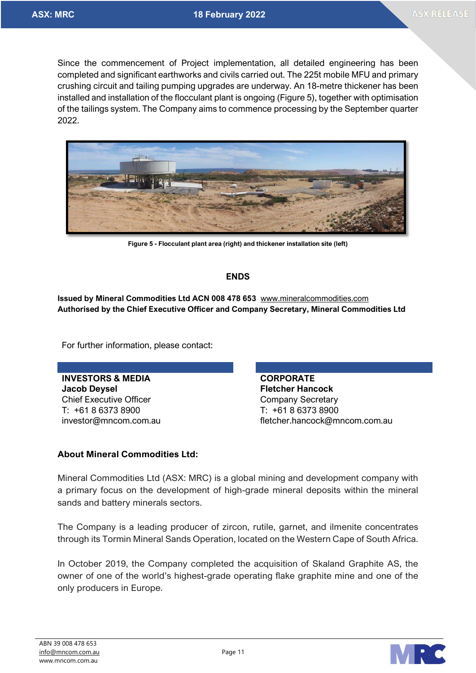Since the commencement of Project implementation, all detailed engineering has been completed and significant earthworks and civils carried out. The 225t mobile MFU and primary crushing circuit and tailing pumping upgrades are underway. An 18-metre thickener has been installed and installation of the flocculant plant is ongoing (Figure 5), together with optimisation of the tailings system. The Company aims to commence processing by the September quarter 2022.



**Figure 5 - Flocculant plant area (right) and thickener installation site (left)**

# **ENDS**

**Issued by Mineral Commodities Ltd ACN 008 478 653** [www.mineralcommodities.com](http://www.mineralcommodities.com/) **Authorised by the Chief Executive Officer and Company Secretary, Mineral Commodities Ltd**

For further information, please contact:

**INVESTORS & MEDIA CORPORATE Jacob Deysel Fletcher Hancock** Chief Executive Officer Chief Executive Officer T: +61 8 6373 8900 T: +61 8 6373 8900

investor@mncom.com.au fletcher.hancock@mncom.com.au

# **About Mineral Commodities Ltd:**

Mineral Commodities Ltd (ASX: MRC) is a global mining and development company with a primary focus on the development of high-grade mineral deposits within the mineral sands and battery minerals sectors.

The Company is a leading producer of zircon, rutile, garnet, and ilmenite concentrates through its Tormin Mineral Sands Operation, located on the Western Cape of South Africa.

In October 2019, the Company completed the acquisition of Skaland Graphite AS, the owner of one of the world's highest-grade operating flake graphite mine and one of the only producers in Europe.

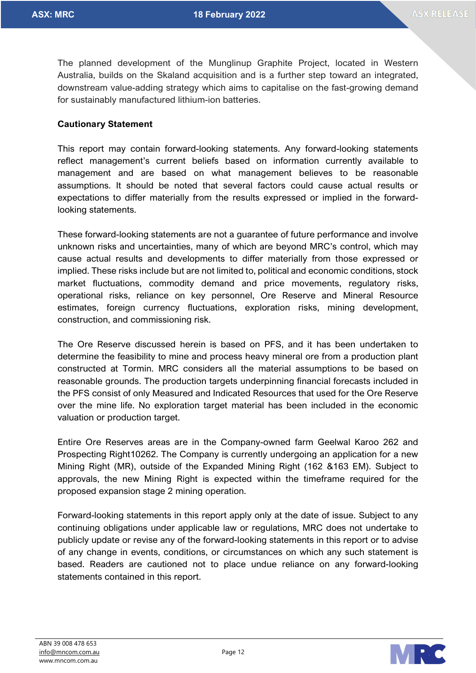The planned development of the Munglinup Graphite Project, located in Western Australia, builds on the Skaland acquisition and is a further step toward an integrated, downstream value-adding strategy which aims to capitalise on the fast-growing demand for sustainably manufactured lithium-ion batteries.

# **Cautionary Statement**

This report may contain forward-looking statements. Any forward-looking statements reflect management's current beliefs based on information currently available to management and are based on what management believes to be reasonable assumptions. It should be noted that several factors could cause actual results or expectations to differ materially from the results expressed or implied in the forwardlooking statements.

These forward-looking statements are not a guarantee of future performance and involve unknown risks and uncertainties, many of which are beyond MRC's control, which may cause actual results and developments to differ materially from those expressed or implied. These risks include but are not limited to, political and economic conditions, stock market fluctuations, commodity demand and price movements, regulatory risks, operational risks, reliance on key personnel, Ore Reserve and Mineral Resource estimates, foreign currency fluctuations, exploration risks, mining development, construction, and commissioning risk.

The Ore Reserve discussed herein is based on PFS, and it has been undertaken to determine the feasibility to mine and process heavy mineral ore from a production plant constructed at Tormin. MRC considers all the material assumptions to be based on reasonable grounds. The production targets underpinning financial forecasts included in the PFS consist of only Measured and Indicated Resources that used for the Ore Reserve over the mine life. No exploration target material has been included in the economic valuation or production target.

Entire Ore Reserves areas are in the Company-owned farm Geelwal Karoo 262 and Prospecting Right10262. The Company is currently undergoing an application for a new Mining Right (MR), outside of the Expanded Mining Right (162 &163 EM). Subject to approvals, the new Mining Right is expected within the timeframe required for the proposed expansion stage 2 mining operation.

Forward-looking statements in this report apply only at the date of issue. Subject to any continuing obligations under applicable law or regulations, MRC does not undertake to publicly update or revise any of the forward-looking statements in this report or to advise of any change in events, conditions, or circumstances on which any such statement is based. Readers are cautioned not to place undue reliance on any forward-looking statements contained in this report.